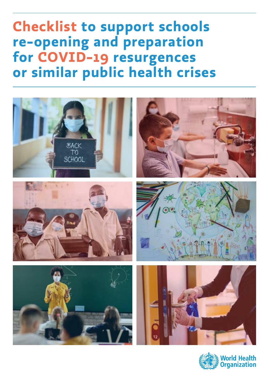**Checklist to support schools re-opening and preparation for COVID-19 resurgences or similar public health crises** 



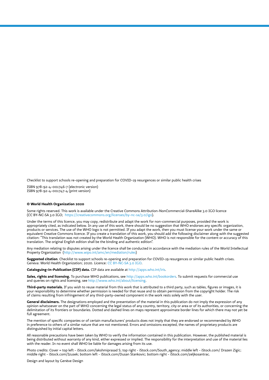Checklist to support schools re-opening and preparation for COVID-19 resurgences or similar public health crises

ISBN 978-92-4-001746-7 (electronic version) ISBN 978-92-4-001747-4 (print version)

#### **© World Health Organization 2020**

Some rights reserved. This work is available under the Creative Commons Attribution-NonCommercial-ShareAlike 3.0 IGO licence (CC BY-NC-SA 3.0 IGO; [https://creativecommons.org/licenses/by-nc-sa/3.0/igo\)](https://creativecommons.org/licenses/by-nc-sa/3.0/igo).

Under the terms of this licence, you may copy, redistribute and adapt the work for non-commercial purposes, provided the work is appropriately cited, as indicated below. In any use of this work, there should be no suggestion that WHO endorses any specific organization, products or services. The use of the WHO logo is not permitted. If you adapt the work, then you must license your work under the same or equivalent Creative Commons licence. If you create a translation of this work, you should add the following disclaimer along with the suggested citation: "This translation was not created by the World Health Organization (WHO). WHO is not responsible for the content or accuracy of this translation. The original English edition shall be the binding and authentic edition".

Any mediation relating to disputes arising under the licence shall be conducted in accordance with the mediation rules of the World Intellectual Property Organization [\(http://www.wipo.int/amc/en/mediation/rules](http://www.wipo.int/amc/en/mediation/rules))

**Suggested citation**. Checklist to support schools re-opening and preparation for COVID-19 resurgences or similar public health crises. Geneva: World Health Organization; 2020. Licence: [CC BY-NC-SA 3.0 IGO](https://creativecommons.org/licenses/by-nc-sa/3.0/igo/).

**Cataloguing-in-Publication (CIP) data.** CIP data are available at [http://apps.who.int/iris.](http://apps.who.int/iris/)

**Sales, rights and licensing.** To purchase WHO publications, see [http://apps.who.int/bookorders.](http://apps.who.int/bookorders) To submit requests for commercial use and queries on rights and licensing, see<http://www.who.int/about/licensing>.

**Third-party materials.** If you wish to reuse material from this work that is attributed to a third party, such as tables, figures or images, it is your responsibility to determine whether permission is needed for that reuse and to obtain permission from the copyright holder. The risk of claims resulting from infringement of any third-party-owned component in the work rests solely with the user.

**General disclaimers.** The designations employed and the presentation of the material in this publication do not imply the expression of any opinion whatsoever on the part of WHO concerning the legal status of any country, territory, city or area or of its authorities, or concerning the delimitation of its frontiers or boundaries. Dotted and dashed lines on maps represent approximate border lines for which there may not yet be full agreement.

The mention of specific companies or of certain manufacturers' products does not imply that they are endorsed or recommended by WHO in preference to others of a similar nature that are not mentioned. Errors and omissions excepted, the names of proprietary products are distinguished by initial capital letters.

All reasonable precautions have been taken by WHO to verify the information contained in this publication. However, the published material is being distributed without warranty of any kind, either expressed or implied. The responsibility for the interpretation and use of the material lies with the reader. In no event shall WHO be liable for damages arising from its use.

Photo credits: Cover = top left - iStock.com/lakshmiprasad S; top right - iStock.com/South\_agency; middle left - iStock.com/ Drazen Zigic; middle right - iStock.com/Izusek; bottom left - iStock.com/Dusan Stankovic; bottom right - iStock.com/zeljkosantrac.

Design and layout by Genève Design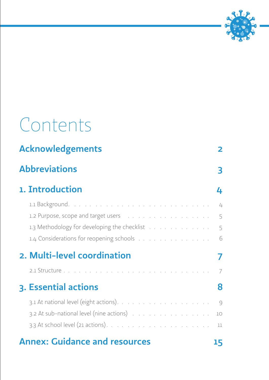

# Contents

| <b>Acknowledgements</b>                                                                                    |          |
|------------------------------------------------------------------------------------------------------------|----------|
| <b>Abbreviations</b>                                                                                       |          |
| 1. Introduction                                                                                            | 4        |
|                                                                                                            | 4        |
| 1.2 Purpose, scope and target users and the series of the series of the series of                          | 5        |
| 1.3 Methodology for developing the checklist                                                               | 5        |
| 1.4 Considerations for reopening schools and a contact and a contact the contact of the Considerations for | 6        |
| 2. Multi-level coordination                                                                                |          |
|                                                                                                            | 7        |
| 3. Essential actions                                                                                       | 8        |
|                                                                                                            | $\Theta$ |
| 3.2 At sub-national level (nine actions)                                                                   | 10       |
|                                                                                                            | 11       |
| <b>Annex: Guidance and resources</b>                                                                       |          |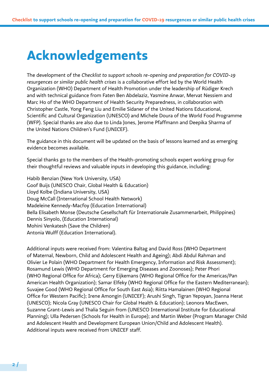# <span id="page-3-0"></span>**Acknowledgements**

The development of the *Checklist to support schools re-opening and preparation for COVID-19 resurgences or similar public health crises* is a collaborative effort led by the World Health Organization (WHO) Department of Health Promotion under the leadership of Rüdiger Krech and with technical guidance from Faten Ben Abdelaziz, Yasmine Anwar, Mervat Nessiem and Marc Ho of the WHO Department of Health Security Preparedness, in collaboration with Christopher Castle, Yong Feng Liu and Emilie Sidaner of the United Nations Educational, Scientific and Cultural Organization (UNESCO) and Michele Doura of the World Food Programme (WFP). Special thanks are also due to Linda Jones, Jerome Pfaffmann and Deepika Sharma of the United Nations Children's Fund (UNICEF).

The guidance in this document will be updated on the basis of lessons learned and as emerging evidence becomes available.

Special thanks go to the members of the Health-promoting schools expert working group for their thoughtful reviews and valuable inputs in developing this guidance, including:

Habib Benzian (New York University, USA) Goof Buijs (UNESCO Chair, Global Health & Education) Lloyd Kolbe (Indiana University, USA) Doug McCall (International School Health Network) Madeleine Kennedy-Macfoy (Education International) Bella Elisabeth Monse (Deutsche Gesellschaft für Internationale Zusammenarbeit, Philippines) Dennis Sinyolo, (Education International) Mohini Venkatesh (Save the Children) Antonia Wulff (Education International).

Additional inputs were received from: Valentina Baltag and David Ross (WHO Department of Maternal, Newborn, Child and Adolescent Health and Ageing); Abdi Abdul Rahman and Olivier Le Polain (WHO Department for Health Emergency, Information and Risk Assessment); Rosamund Lewis (WHO Department for Emerging Diseases and Zoonoses); Peter Phori (WHO Regional Office for Africa); Gerry Eijkemans (WHO Regional Office for the Americas/Pan American Health Organization); Samar Elfeky (WHO Regional Office for the Eastern Mediterranean); Suvajee Good (WHO Regional Office for South East Asia); Riitta Hamalainen (WHO Regional Office for Western Pacific); Irene Amongin (UNICEF); Arushi Singh, Tigran Yepoyan, Joanna Herat (UNESCO); Nicola Gray (UNESCO Chair for Global Health & Education); Leonora MacEwen, Suzanne Grant-Lewis and Thalia Seguin from (UNESCO International Institute for Educational Planning); Ulla Pedersen (Schools for Health in Europe); and Martin Weber (Program Manager Child and Adolescent Health and Development European Union/Child and Adolescent Health). Additional inputs were received from UNICEF staff.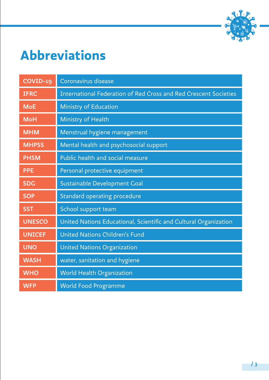

# <span id="page-4-0"></span>**Abbreviations**

| COVID-19      | Coronavirus disease                                                     |
|---------------|-------------------------------------------------------------------------|
| <b>IFRC</b>   | <b>International Federation of Red Cross and Red Crescent Societies</b> |
| <b>MoE</b>    | <b>Ministry of Education</b>                                            |
| <b>MoH</b>    | Ministry of Health                                                      |
| <b>MHM</b>    | Menstrual hygiene management                                            |
| <b>MHPSS</b>  | Mental health and psychosocial support                                  |
| <b>PHSM</b>   | Public health and social measure                                        |
| <b>PPE</b>    | Personal protective equipment                                           |
| <b>SDG</b>    | Sustainable Development Goal                                            |
| <b>SOP</b>    | Standard operating procedure                                            |
| <b>SST</b>    | School support team                                                     |
| <b>UNESCO</b> | United Nations Educational, Scientific and Cultural Organization        |
| <b>UNICEF</b> | <b>United Nations Children's Fund</b>                                   |
| <b>UNO</b>    | <b>United Nations Organization</b>                                      |
| <b>WASH</b>   | water, sanitation and hygiene                                           |
| <b>WHO</b>    | <b>World Health Organization</b>                                        |
| <b>WFP</b>    | <b>World Food Programme</b>                                             |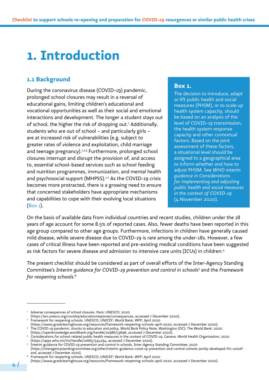# **1. Introduction**

### **1.1 Background**

During the coronavirus disease (COVID-19) pandemic, prolonged school closures may result in a reversal of educational gains, limiting children's educational and vocational opportunities as well as their social and emotional interactions and development. The longer a student stays out of school, the higher the risk of dropping out.<sup>1</sup> Additionally, students who are out of school – and particularly girls – are at increased risk of vulnerabilities (e.g. subject to greater rates of violence and exploitation, child marriage and teenage pregnancy).<sup>1,2,3</sup> Furthermore, prolonged school closures interrupt and disrupt the provision of, and access to, essential school-based services such as school feeding and nutrition programmes, immunization, and mental health and psychosocial support (MHPSS).<sup>1,2</sup> As the COVID-19 crisis becomes more protracted, there is a growing need to ensure that concerned stakeholders have appropriate mechanisms and capabilities to cope with their evolving local situations  $(Box 1)$ .

#### **Box 1.**

The decision to introduce, adapt or lift public health and social measures (PHSM), or to scale up health system capacity, should be based on an analysis of the level of COVID-19 transmission, the health system response capacity and other contextual factors. Based on the joint assessment of these factors, a situational level should be assigned to a geographical area to inform whether and how to adjust PHSM. See *[WHO interim](https://apps.who.int/iris/handle/10665/334294)  [guidance in Considerations](https://apps.who.int/iris/handle/10665/334294)  [for implementing and adjusting](https://apps.who.int/iris/handle/10665/334294)  [public health and social measures](https://apps.who.int/iris/handle/10665/334294)  [in the context of COVID-19](https://apps.who.int/iris/handle/10665/334294)* (4 November 2020).

On the basis of available data from individual countries and recent studies, children under the 18 years of age account for some 8.5% of reported cases. Also, fewer deaths have been reported in this age group compared to other age groups. Furthermore, infections in children have generally caused mild disease, while severe disease due to COVID-19 is rare among the under-18s. However, a few cases of critical illness have been reported and pre-existing medical conditions have been suggested as risk factors for severe disease and admission to intensive care units (ICUs) in children.<sup>4</sup>

The present checklist should be considered as part of overall efforts of the Inter-Agency Standing Committee's *Interim guidance for COVID-19 prevention and control in schools*<sup>5</sup> and the *Framework for reopening schools*. 6

<sup>&</sup>lt;sup>1</sup> Adverse consequences of school closures. Paris: UNESCO; 2020

<sup>(</sup>[https://en.unesco.org/covid19/educationresponse/consequences, accessed 7 December 2020\)](https://en.unesco.org/covid19/educationresponse/consequences).

<sup>2</sup> Framework for reopening schools. UNESCO; UNICEF; World Bank; WFP; April 2020

<sup>(</sup>[https://www.gcedclearinghouse.org/resources/framework-reopening-schools-april-2020, accessed 7 December 2020\)](https://www.gcedclearinghouse.org/resources/framework-reopening-schools-april-2020).

<sup>3</sup> The COVID-19 pandemic: shocks to education and policy. World Bank Policy Note. Washington (DC): The World Bank; 2020

<sup>(</sup>[https://openknowledge.worldbank.org/handle/10986/33696, accessed 7 December 2020](https://openknowledge.worldbank.org/handle/10986/33696)).<br>4 Considerations for school-related public health measures in the context of COVID-19. Geneva: World Health Organization; 2020<br>4 (https://

Interim guidance for COVID-19 prevention and control in schools. Inter-Agency Standing Committee; 2020

[<sup>\(</sup>https://interagencystandingcommittee.org/other/interim-guidance-covid-19-prevention-and-control-schools-jointly-developed-ifrc-unicef-](https://interagencystandingcommittee.org/other/interim-guidance-covid-19-prevention-and-control-schools-jointly-developed-ifrc-unicef-and)

<sup>&</sup>lt;sup>6</sup> Framework for reopening schools. UNESCO; UNICEF; World Bank; WFP; April 2020 ([https://www.gcedclearinghouse.org/resources/framework-reopening-schools-april-2020, accessed 7 December 2020\)](https://www.gcedclearinghouse.org/resources/framework-reopening-schools-april-2020).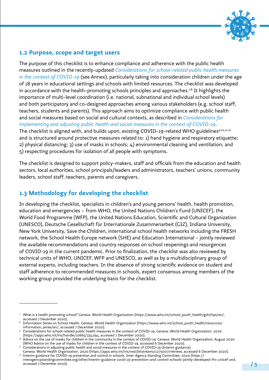

### <span id="page-6-0"></span>**1.2 Purpose, scope and target users**

The purpose of this checklist is to enhance compliance and adherence with the public health measures outlined in the recently-updated *[Considerations for school-related public health measures](https://apps.who.int/iris/handle/10665/334294)  [in the context of COVID-19](https://apps.who.int/iris/handle/10665/334294)* (see Annex), particularly taking into consideration children under the age of 18 years in educational settings and schools with limited resources. The checklist was developed in accordance with the health-promoting schools principles and approaches.<sup>7,8</sup> It highlights the importance of multi-level coordination (i.e. national, subnational and individual school levels) and both participatory and co-designed approaches among various stakeholders (e.g. school staff, teachers, students and parents). This approach aims to optimize compliance with public health and social measures based on social and cultural contexts, as described in *[Considerations for](https://www.who.int/publications/i/item/considerations-in-adjusting-public-health-and-social-measures-in-the-context-of-covid-19-interim-guidance)  [implementing and adjusting public health and social measures in the context of COVID-19](https://www.who.int/publications/i/item/considerations-in-adjusting-public-health-and-social-measures-in-the-context-of-covid-19-interim-guidance)*. The checklist is aligned with, and builds upon, existing COVID-19-related WHO guidelines9,10,11,12 and is structured around protective measures related to: 1) hand hygiene and respiratory etiquette; 2) physical distancing; 3) use of masks in schools; 4) environmental cleaning and ventilation; and 5) respecting procedures for isolation of all people with symptoms.

The checklist is designed to support policy-makers, staff and officials from the education and health sectors, local authorities, school principals/leaders and administrators, teachers' unions, community leaders, school staff, teachers, parents and caregivers.

### **1.3 Methodology for developing the checklist**

In developing the checklist, specialists in children's and young persons' health, health promotion, education and emergencies – from WHO, the United Nations Children's Fund (UNICEF), the World Food Programme (WFP), the United Nations Education, Scientific and Cultural Organization (UNESCO), Deutsche Gesellschaft für Internationale Zusammenarbeit (GIZ), Indiana University, New York University, Save the Children, international school health networks including the FRESH network, the School Health Europe network (SHE) and Education International – jointly reviewed the available recommendations and country responses on school reopenings and resurgences of COVID-19 in the current pandemic. Prior to finalization, the checklist was also reviewed by technical units of WHO, UNICEF, WFP and UNESCO, as well as by a multidisciplinary group of external experts, including teachers. In the absence of strong scientific evidence on student and staff adherence to recommended measures in schools, expert consensus among members of the working group provided the underlying basis for the checklist.

<sup>7</sup> What is a health promoting school? Geneva: World Health Organization ([https://www.who.int/school\\_youth\\_health/gshi/hps/en/](https://www.who.int/school_youth_health/gshi/hps/en), accessed 7 December 2020).

<sup>8</sup> Information Series on School Health. Geneva: World Health Organization ([https://www.who.int/school\\_youth\\_health/resources/](https://www.who.int/school_youth_health/resources/information_series/en/) [information\\_series/en/](https://www.who.int/school_youth_health/resources/information_series/en/), accessed 7 December 2020).

<sup>9</sup> Considerations for school-related public health measures in the context of COVID-19. Geneva: World Health Organization; 2020

<sup>(</sup>[https://apps.who.int/iris/handle/10665/334294,](https://apps.who.int/iris/handle/10665/334294) accessed 7 December 2020).<br>10 Advice on the use of masks for children in the community in the context of COVID-19. Geneva: World Health Organization; August 2020<br>10 (WHO Advi

 $^{\text{11}}$  Considerations in adjusting public health and social measures in the context of COVID-19 (Interim guidance). Geneva: World Health Organization; 2020 [\(https://apps.who.int/iris/rest/bitstreams/1275007/retrieve,](https://apps.who.int/iris/rest/bitstreams/1275007/retrieve) accessed 6 December 2020).<br><sup>12</sup> Interim guidance for COVID-19 prevention and control in schools. Inter-Agency Standing Co

[interagencystandingcommittee.org/other/interim-guidance-covid-19-prevention-and-control-schools-jointly-developed-ifrc-unicef-and](https://interagencystandingcommittee.org/other/interim-guidance-covid-19-prevention-and-control-schools-jointly-developed-ifrc-unicef-and), accessed 7 December 2020).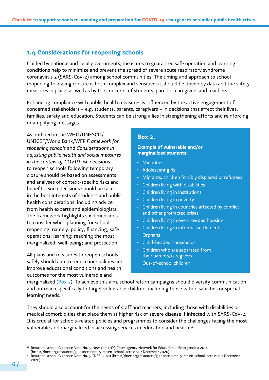### <span id="page-7-0"></span>**1.4 Considerations for reopening schools**

Guided by national and local governments, measures to guarantee safe operation and learning conditions help to minimize and prevent the spread of severe acute respiratory syndrome coronavirus 2 (SARS-CoV-2) among school communities. The timing and approach to school reopening following closure is both complex and sensitive; it should be driven by data and the safety measures in place, as well as by the concerns of students, parents, caregivers and teachers.

Enhancing compliance with public health measures is influenced by the active engagement of concerned stakeholders – e.g. students, parents, caregivers – in decisions that affect their lives, families, safety and education. Students can be strong allies in strengthening efforts and reinforcing or amplifying messages.

As outlined in the WHO/UNESCO/ UNICEF/World Bank/WFP *Framework for reopening schools* and *Considerations in adjusting public health and social measures in the context of COVID-19*, decisions to reopen schools following temporary closure should be based on assessments and analyses of context-specific risks and benefits. Such decisions should be taken in the best interests of students and public health considerations, including advice from health experts and epidemiologists. The framework highlights six dimensions to consider when planning for school reopening, namely: policy; financing; safe operations; learning; reaching the most marginalized; well-being; and protection.

All plans and measures to reopen schools safely should aim to reduce inequalities and improve educational conditions and health outcomes for the most vulnerable and

#### **Box 2.**

#### **Example of vulnerable and/or marginalized students:**

- **•** Minorities
- **•** Adolescent girls
- **•** Migrants, children forcibly displaced or refugees
- **•** Children living with disabilities
- **•** Children living in institutions
- **•** Children living in poverty
- **•** Children living in countries affected by conflict and other protracted crises
- **•** Children living in overcrowded housing
- **•** Children living in informal settlements
- **•** Orphans
- **•** Child-headed households
- **•** Children who are separated from their parents/caregivers
- Out-of-school children

marginalized (Box 2). To achieve this aim, school return campaigns should diversify communication and outreach specifically to target vulnerable children, including those with disabilities or special learning needs.<sup>13</sup>

They should also account for the needs of staff and teachers, including those with disabilities or medical comorbidities that place them at higher risk of severe disease if infected with SARS-CoV-2. It is crucial for schools-related policies and programmes to consider the challenges facing the most vulnerable and marginalized in accessing services in education and health.<sup>14</sup>

<sup>13</sup> Return to school. Guidance Note No. 5. New York (NY): Inter-agency Network for Education in Emergencies; 2020

<sup>(</sup>[https://inee.org/resources/guidance-note-5-return-school, accessed 7 December 2020](https://inee.org/resources/guidance-note-5-return-school)). 14 Return to school. Guidance Note No. 5. INEE; 2020 [\(https://inee.org/resources/guidance-note-5-return-school](https://inee.org/resources/guidance-note-5-return-school)[, accessed 7 December](https://inee.org/resources/guidance-note-5-return-school, accessed 7 December 2020)  [2020](https://inee.org/resources/guidance-note-5-return-school, accessed 7 December 2020)).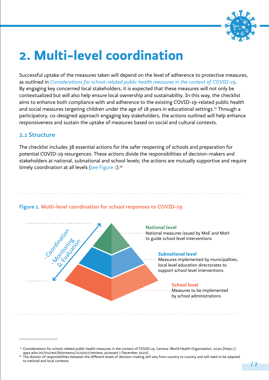

# <span id="page-8-0"></span>**2. Multi-level coordination**

Successful uptake of the measures taken will depend on the level of adherence to protective measures, as outlined in *[Considerations for school-related public health measures in the context of COVID-19](https://apps.who.int/iris/handle/10665/334294)*. By engaging key concerned local stakeholders, it is expected that these measures will not only be contextualized but will also help ensure local ownership and sustainability. In this way, the checklist aims to enhance both compliance with and adherence to the existing COVID-19-related public health and social measures targeting children under the age of 18 years in educational settings.<sup>15</sup> Through a participatory, co-designed approach engaging key stakeholders, the actions outlined will help enhance responsiveness and sustain the uptake of measures based on social and cultural contexts.

#### 2.1 Structure

The checklist includes 38 essential actions for the safer reopening of schools and preparation for potential COVID-19 resurgences. These actions divide the responsibilities of decision-makers and stakeholders at national, subnational and school levels; the actions are mutually supportive and require timely coordination at all levels (see Figure 1).<sup>16</sup>



#### Figure 1. Multi-level coordination for school responses to COVID-19

<sup>&</sup>lt;sup>15</sup> Considerations for school-related public health measures in the context of COVID-19. Geneva: World Health Organization; 2020 (https:// apps.who.int/iris/rest/bitstreams/1275007/retrieve, accessed 7 December 2020).

<sup>&</sup>lt;sup>16</sup> The division of responsibilities between the different levels of decision-making will vary from country to country and will need to be adapted to national and local contexts.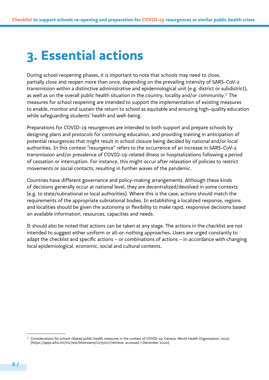# **3. Essential actions**

During school reopening phases, it is important to note that schools may need to close, partially close and reopen more than once, depending on the prevailing intensity of SARS-CoV-2 transmission within a distinctive administrative and epidemiological unit (e.g. district or subdistrict), as well as on the overall public health situation in the country, locality and/or community.<sup>17</sup> The measures for school reopening are intended to support the implementation of existing measures to enable, monitor and sustain the return to school as equitable and ensuring high-quality education while safeguarding students' health and well-being.

Preparations for COVID-19 resurgences are intended to both support and prepare schools by designing plans and protocols for continuing education, and providing training in anticipation of potential resurgences that might result in school closure being decided by national and/or local authorities. In this context "resurgence" refers to the occurrence of an increase in SARS-CoV-2 transmission and/or prevalence of COVID-19-related illness or hospitalizations following a period of cessation or interruption. For instance, this might occur after relaxation of policies to restrict movements or social contacts, resulting in further waves of the pandemic.

Countries have different governance and policy-making arrangements. Although these kinds of decisions generally occur at national level, they are decentralized/devolved in some contexts (e.g. to state/subnational or local authorities). Where this is the case, actions should match the requirements of the appropriate subnational bodies. In establishing a localized response, regions and localities should be given the autonomy or flexibility to make rapid, responsive decisions based on available information, resources, capacities and needs.

It should also be noted that actions can be taken at any stage. The actions in the checklist are not intended to suggest either uniform or all-or-nothing approaches. Users are urged constantly to adapt the checklist and specific actions – or combinations of actions – in accordance with changing local epidemiological, economic, social and cultural contexts.

<sup>17</sup> Considerations for school-related public health measures in the context of COVID-19. Geneva: World Health Organization; 2020 (<https://apps.who.int/iris/rest/bitstreams/1275007/retrieve>, accessed 7 December 2020).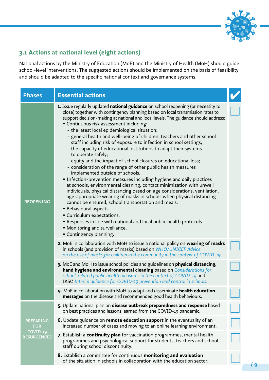

### **3.1 Actions at national level (eight actions)**

National actions by the Ministry of Education (MoE) and the Ministry of Health (MoH) should guide school-level interventions. The suggested actions should be implemented on the basis of feasibility and should be adapted to the specific national context and governance systems.

| <b>Phases</b>                                                    | <b>Essential actions</b>                                                                                                                                                                                                                                                                                                                                                                                                                                                                                                                                                                                                                                                                                                                                                                                                                                                                                                                                                                                                                                                                                                                                                                                                                                                                                                         |  |
|------------------------------------------------------------------|----------------------------------------------------------------------------------------------------------------------------------------------------------------------------------------------------------------------------------------------------------------------------------------------------------------------------------------------------------------------------------------------------------------------------------------------------------------------------------------------------------------------------------------------------------------------------------------------------------------------------------------------------------------------------------------------------------------------------------------------------------------------------------------------------------------------------------------------------------------------------------------------------------------------------------------------------------------------------------------------------------------------------------------------------------------------------------------------------------------------------------------------------------------------------------------------------------------------------------------------------------------------------------------------------------------------------------|--|
| <b>REOPENING</b>                                                 | 1. Issue regularly updated national guidance on school reopening (or necessity to<br>close) together with contingency planning based on local transmission rates to<br>support decision-making at national and local levels. The guidance should address:<br>• Continuous risk assessment including:<br>- the latest local epidemiological situation;<br>- general health and well-being of children, teachers and other school<br>staff including risk of exposure to infection in school settings;<br>- the capacity of educational institutions to adapt their systems<br>to operate safely;<br>- equity and the impact of school closures on educational loss;<br>- consideration of the range of other public health measures<br>implemented outside of schools.<br>• Infection-prevention measures including hygiene and daily practices<br>at schools, environmental cleaning, contact minimization with unwell<br>individuals, physical distancing based on age considerations, ventilation,<br>age-appropriate wearing of masks in schools when physical distancing<br>cannot be ensured, school transportation and meals.<br>• Behavioural aspects.<br>• Curriculum expectations.<br>. Responses in line with national and local public health protocols.<br>• Monitoring and surveillance.<br>• Contingency planning. |  |
|                                                                  | 2. MoE in collaboration with MoH to issue a national policy on wearing of masks<br>in schools (and provision of masks) based on WHO/UNICEF Advice<br>on the use of masks for children in the community in the context of COVID-19.                                                                                                                                                                                                                                                                                                                                                                                                                                                                                                                                                                                                                                                                                                                                                                                                                                                                                                                                                                                                                                                                                               |  |
|                                                                  | 3. MoE and MoH to issue school policies and guidelines on physical distancing,<br>hand hygiene and environmental cleaning based on Considerations for<br>school-related public health measures in the context of COVID-19 and<br>IASC Interim quidance for COVID-19 prevention and control in schools.                                                                                                                                                                                                                                                                                                                                                                                                                                                                                                                                                                                                                                                                                                                                                                                                                                                                                                                                                                                                                           |  |
|                                                                  | 4. MoE in collaboration with MoH to adapt and disseminate health education<br>messages on the disease and recommended good health behaviours.                                                                                                                                                                                                                                                                                                                                                                                                                                                                                                                                                                                                                                                                                                                                                                                                                                                                                                                                                                                                                                                                                                                                                                                    |  |
| <b>PREPARING</b><br><b>FOR</b><br>COVID-19<br><b>RESURGENCES</b> | 5. Update national plan on disease outbreak preparedness and response based<br>on best practices and lessons learned from the COVID-19 pandemic.                                                                                                                                                                                                                                                                                                                                                                                                                                                                                                                                                                                                                                                                                                                                                                                                                                                                                                                                                                                                                                                                                                                                                                                 |  |
|                                                                  | 6. Update guidance on remote education support in the eventuality of an<br>increased number of cases and moving to an online learning environment.                                                                                                                                                                                                                                                                                                                                                                                                                                                                                                                                                                                                                                                                                                                                                                                                                                                                                                                                                                                                                                                                                                                                                                               |  |
|                                                                  | 7. Establish a continuity plan for vaccination programmes, mental health<br>programmes and psychological support for students, teachers and school<br>staff during school discontinuity.                                                                                                                                                                                                                                                                                                                                                                                                                                                                                                                                                                                                                                                                                                                                                                                                                                                                                                                                                                                                                                                                                                                                         |  |
|                                                                  | 8. Establish a committee for continuous monitoring and evaluation<br>of the situation in schools in collaboration with the education sector.                                                                                                                                                                                                                                                                                                                                                                                                                                                                                                                                                                                                                                                                                                                                                                                                                                                                                                                                                                                                                                                                                                                                                                                     |  |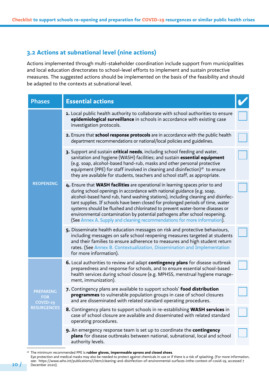### **3.2 Actions at subnational level (nine actions)**

Actions implemented through multi-stakeholder coordination include support from municipalities and local education directorates to school-level efforts to implement and sustain protective measures. The suggested actions should be implemented on the basis of the feasibility and should be adapted to the contexts at subnational level.

| <b>Phases</b>                                                           | <b>Essential actions</b>                                                                                                                                                                                                                                                                                                                                                                                                                                                                                                                                                   |  |
|-------------------------------------------------------------------------|----------------------------------------------------------------------------------------------------------------------------------------------------------------------------------------------------------------------------------------------------------------------------------------------------------------------------------------------------------------------------------------------------------------------------------------------------------------------------------------------------------------------------------------------------------------------------|--|
| <b>REOPENING</b>                                                        | 1. Local public health authority to collaborate with school authorities to ensure<br>epidemiological surveillance in schools in accordance with existing case<br>investigation protocols.                                                                                                                                                                                                                                                                                                                                                                                  |  |
|                                                                         | 2. Ensure that school response protocols are in accordance with the public health<br>department recommendations or national/local policies and guidelines.                                                                                                                                                                                                                                                                                                                                                                                                                 |  |
|                                                                         | 3. Support and sustain critical needs, including school feeding and water,<br>sanitation and hygiene (WASH) facilities; and sustain essential equipment<br>(e.g. soap, alcohol-based hand-rub, masks and other personal protective<br>equipment (PPE) for staff involved in cleaning and disinfection) <sup>18</sup> to ensure<br>they are available for students, teachers and school staff, as appropriate.                                                                                                                                                              |  |
|                                                                         | 4. Ensure that WASH facilities are operational in learning spaces prior to and<br>during school openings in accordance with national guidance (e.g. soap,<br>alcohol-based hand rub, hand washing stations), including cleaning and disinfec-<br>tant supplies. If schools have been closed for prolonged periods of time, water<br>systems should be flushed and chlorinated to prevent water-borne diseases or<br>environmental contamination by potential pathogens after school reopening.<br>(See Annex A. Supply and cleaning recommendations for more information). |  |
|                                                                         | 5. Disseminate health education messages on risk and protective behaviours,<br>including messages on safe school reopening measures targeted at students<br>and their families to ensure adherence to measures and high student return<br>rates. (See Annex B. Contextualization, Dissemination and Implementation<br>for more information).                                                                                                                                                                                                                               |  |
|                                                                         | 6. Local authorities to review and adapt contingency plans for disease outbreak<br>preparedness and response for schools, and to ensure essential school-based<br>health services during school closure (e.g. MPHSS, menstrual hygiene manage-<br>ment, immunization).                                                                                                                                                                                                                                                                                                     |  |
| <b>PREPARING</b><br><b>FOR</b><br><b>COVID-19</b><br><b>RESURGENCES</b> | 7. Contingency plans are available to support schools' food distribution<br>programmes to vulnerable population groups in case of school closures<br>and are disseminated with related standard operating procedures.                                                                                                                                                                                                                                                                                                                                                      |  |
|                                                                         | 8. Contingency plans to support schools in re-establishing WASH services in<br>case of school closure are available and disseminated with related standard<br>operating procedures.                                                                                                                                                                                                                                                                                                                                                                                        |  |
|                                                                         | 9. An emergency response team is set up to coordinate the contingency<br>plans for disease outbreaks between national, subnational, local and school<br>authority levels.                                                                                                                                                                                                                                                                                                                                                                                                  |  |

<sup>&</sup>lt;sup>18</sup> The minimum recommended PPE is **rubber gloves, impermeable aprons and closed shoes**.

Eye protection and medical masks may also be needed to protect against chemicals in use or if there is a risk of splashing. (For more information, see: [https://www.who.int/publications/i/item/cleaning-and-disinfection-of-environmental-surfaces-inthe-context-of-covid-19, accessed 7](https://www.who.int/publications/i/item/cleaning-and-disinfection-of-environmental-surfaces-inthe-context-of-covid-19)  [December 2020\)](https://www.who.int/publications/i/item/cleaning-and-disinfection-of-environmental-surfaces-inthe-context-of-covid-19).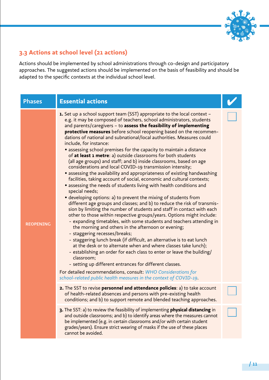

## **3.3 Actions at school level (21 actions)**

Actions should be implemented by school administrations through co-design and participatory approaches. The suggested actions should be implemented on the basis of feasibility and should be adapted to the specific contexts at the individual school level.

| <b>Phases</b>    | <b>Essential actions</b>                                                                                                                                                                                                                                                                                                                                                                                                                                                                                                                                                                                                                                                                                                                                                                                                                                                                                                                                                                                                                                                                                                                                                                                                                                                                                                                                                                                                                                                                                                                                                                                                                                                                                                                                                                                                        |  |
|------------------|---------------------------------------------------------------------------------------------------------------------------------------------------------------------------------------------------------------------------------------------------------------------------------------------------------------------------------------------------------------------------------------------------------------------------------------------------------------------------------------------------------------------------------------------------------------------------------------------------------------------------------------------------------------------------------------------------------------------------------------------------------------------------------------------------------------------------------------------------------------------------------------------------------------------------------------------------------------------------------------------------------------------------------------------------------------------------------------------------------------------------------------------------------------------------------------------------------------------------------------------------------------------------------------------------------------------------------------------------------------------------------------------------------------------------------------------------------------------------------------------------------------------------------------------------------------------------------------------------------------------------------------------------------------------------------------------------------------------------------------------------------------------------------------------------------------------------------|--|
| <b>REOPENING</b> | 1. Set up a school support team (SST) appropriate to the local context -<br>e.g. it may be composed of teachers, school administrators, students<br>and parents/caregivers - to assess the feasibility of implementing<br>protective measures before school reopening based on the recommen-<br>dations of national and subnational/local authorities. Measures could<br>include, for instance:<br>• assessing school premises for the capacity to maintain a distance<br>of at least 1 metre: a) outside classrooms for both students<br>(all age groups) and staff; and b) inside classrooms, based on age<br>considerations and local COVID-19 transmission intensity;<br>• assessing the availability and appropriateness of existing handwashing<br>facilities, taking account of social, economic and cultural contexts;<br>• assessing the needs of students living with health conditions and<br>special needs;<br>• developing options: a) to prevent the mixing of students from<br>different age groups and classes; and b) to reduce the risk of transmis-<br>sion by limiting the number of students and staff in contact with each<br>other to those within respective groups/years. Options might include:<br>- expanding timetables, with some students and teachers attending in<br>the morning and others in the afternoon or evening;<br>- staggering recesses/breaks;<br>- staggering lunch break (if difficult, an alternative is to eat lunch<br>at the desk or to alternate when and where classes take lunch);<br>- establishing an order for each class to enter or leave the building/<br>classroom;<br>- setting up different entrances for different classes.<br>For detailed recommendations, consult: WHO Considerations for<br>school-related public health measures in the context of COVID-19. |  |
|                  | 2. The SST to revise personnel and attendance policies: a) to take account<br>of health-related absences and persons with pre-existing health<br>conditions; and b) to support remote and blended teaching approaches.                                                                                                                                                                                                                                                                                                                                                                                                                                                                                                                                                                                                                                                                                                                                                                                                                                                                                                                                                                                                                                                                                                                                                                                                                                                                                                                                                                                                                                                                                                                                                                                                          |  |
|                  | 3. The SST: a) to review the feasibility of implementing physical distancing in<br>and outside classrooms; and b) to identify areas where the measures cannot<br>be implemented (e.g. in certain classrooms and/or with certain student<br>grades/years). Ensure strict wearing of masks if the use of these places<br>cannot be avoided.                                                                                                                                                                                                                                                                                                                                                                                                                                                                                                                                                                                                                                                                                                                                                                                                                                                                                                                                                                                                                                                                                                                                                                                                                                                                                                                                                                                                                                                                                       |  |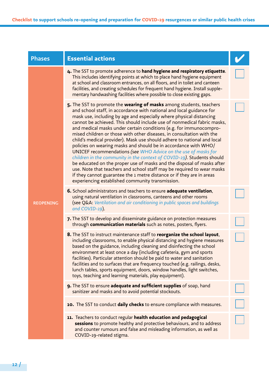| <b>Phases</b>    | <b>Essential actions</b>                                                                                                                                                                                                                                                                                                                                                                                                                                                                                                                                                                                                                                                                                                                                                                                                                                                                                                                                                                                                       |  |
|------------------|--------------------------------------------------------------------------------------------------------------------------------------------------------------------------------------------------------------------------------------------------------------------------------------------------------------------------------------------------------------------------------------------------------------------------------------------------------------------------------------------------------------------------------------------------------------------------------------------------------------------------------------------------------------------------------------------------------------------------------------------------------------------------------------------------------------------------------------------------------------------------------------------------------------------------------------------------------------------------------------------------------------------------------|--|
|                  | 4. The SST to promote adherence to hand hygiene and respiratory etiquette.<br>This includes identifying points at which to place hand hygiene equipment<br>at school and classroom entrances, on all floors, and in toilet and canteen<br>facilities, and creating schedules for frequent hand hygiene. Install supple-<br>mentary handwashing facilities where possible to close existing gaps.                                                                                                                                                                                                                                                                                                                                                                                                                                                                                                                                                                                                                               |  |
|                  | 5. The SST to promote the wearing of masks among students, teachers<br>and school staff, in accordance with national and local guidance for<br>mask use, including by age and especially where physical distancing<br>cannot be achieved. This should include use of nonmedical fabric masks,<br>and medical masks under certain conditions (e.g. for immunocompro-<br>mised children or those with other diseases, in consultation with the<br>child's medical provider). Mask use should adhere to national and local<br>policies on wearing masks and should be in accordance with WHO/<br><b>UNICEF recommendations (see WHO Advice on the use of masks for</b><br>children in the community in the context of COVID-19). Students should<br>be educated on the proper use of masks and the disposal of masks after<br>use. Note that teachers and school staff may be required to wear masks<br>if they cannot guarantee the 1 metre distance or if they are in areas<br>experiencing established community transmission. |  |
| <b>REOPENING</b> | 6. School administrators and teachers to ensure adequate ventilation,<br>using natural ventilation in classrooms, canteens and other rooms<br>(see Q&A: Ventilation and air conditioning in public spaces and buildings<br>and COVID-19).                                                                                                                                                                                                                                                                                                                                                                                                                                                                                                                                                                                                                                                                                                                                                                                      |  |
|                  | 7. The SST to develop and disseminate guidance on protection measures<br>through communication materials such as notes, posters, flyers.                                                                                                                                                                                                                                                                                                                                                                                                                                                                                                                                                                                                                                                                                                                                                                                                                                                                                       |  |
|                  | 8. The SST to instruct maintenance staff to reorganize the school layout,<br>including classrooms, to enable physical distancing and hygiene measures<br>based on the guidance, including cleaning and disinfecting the school<br>environment at least once a day (including cafeteria, gym and sports<br>facilities). Particular attention should be paid to water and sanitation<br>facilities and to surfaces that are frequency touched (e.g. railings, desks,<br>lunch tables, sports equipment, doors, window handles, light switches,<br>toys, teaching and learning materials, play equipment).                                                                                                                                                                                                                                                                                                                                                                                                                        |  |
|                  | 9. The SST to ensure adequate and sufficient supplies of soap, hand<br>sanitizer and masks and to avoid potential stockouts.                                                                                                                                                                                                                                                                                                                                                                                                                                                                                                                                                                                                                                                                                                                                                                                                                                                                                                   |  |
|                  | 10. The SST to conduct daily checks to ensure compliance with measures.                                                                                                                                                                                                                                                                                                                                                                                                                                                                                                                                                                                                                                                                                                                                                                                                                                                                                                                                                        |  |
|                  | 11. Teachers to conduct regular health education and pedagogical<br>sessions to promote healthy and protective behaviours, and to address<br>and counter rumours and false and misleading information, as well as<br>COVID-19-related stigma.                                                                                                                                                                                                                                                                                                                                                                                                                                                                                                                                                                                                                                                                                                                                                                                  |  |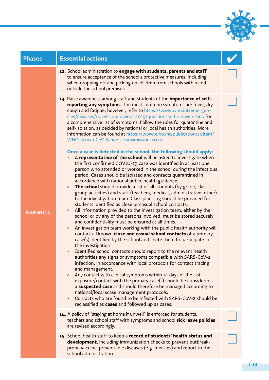

| <b>Phases</b>    | <b>Essential actions</b>                                                                                                                                                                                                                                                                                                                                                                                                                                                                                                                                                                                                                                                                                                                                                                                                                                                                                                                                                                                                                                                                                                                                                                                                                                                                                                                                                                                                                                                                                                                                                                                                                                                                                                                                                                                                                                                                                                                                                                                                                                                                                                                                                                                                                                                                                                                              |  |
|------------------|-------------------------------------------------------------------------------------------------------------------------------------------------------------------------------------------------------------------------------------------------------------------------------------------------------------------------------------------------------------------------------------------------------------------------------------------------------------------------------------------------------------------------------------------------------------------------------------------------------------------------------------------------------------------------------------------------------------------------------------------------------------------------------------------------------------------------------------------------------------------------------------------------------------------------------------------------------------------------------------------------------------------------------------------------------------------------------------------------------------------------------------------------------------------------------------------------------------------------------------------------------------------------------------------------------------------------------------------------------------------------------------------------------------------------------------------------------------------------------------------------------------------------------------------------------------------------------------------------------------------------------------------------------------------------------------------------------------------------------------------------------------------------------------------------------------------------------------------------------------------------------------------------------------------------------------------------------------------------------------------------------------------------------------------------------------------------------------------------------------------------------------------------------------------------------------------------------------------------------------------------------------------------------------------------------------------------------------------------------|--|
|                  | 12. School administration to engage with students, parents and staff<br>to ensure acceptance of the school's protective measures, including<br>when dropping off and picking up children from schools within and<br>outside the school premises.                                                                                                                                                                                                                                                                                                                                                                                                                                                                                                                                                                                                                                                                                                                                                                                                                                                                                                                                                                                                                                                                                                                                                                                                                                                                                                                                                                                                                                                                                                                                                                                                                                                                                                                                                                                                                                                                                                                                                                                                                                                                                                      |  |
| <b>REOPENING</b> | 13. Raise awareness among staff and students of the importance of self-<br>reporting any symptoms. The most common symptoms are fever, dry<br>cough and fatigue; however, refer to https://www.who.int/emergen-<br>cies/diseases/novel-coronavirus-2019/question-and-answers-hub for<br>a comprehensive list of symptoms. Follow the rules for quarantine and<br>self-isolation, as decided by national or local health authorities. More<br>information can be found at https://www.who.int/publications/i/item/<br>WHO-2019-nCoV-Schools_transmission-2020.1.<br>Once a case is detected in the school, the following should apply:<br>A representative of the school will be asked to investigate when<br>the first confirmed COVID-19 case was identified in at least one<br>person who attended or worked in the school during the infectious<br>period. Cases should be isolated and contacts quarantined in<br>accordance with national public health guidance.<br>The school should provide a list of all students (by grade, class,<br>$\, >$<br>group activities) and staff (teachers, medical, administrative, other)<br>to the investigation team. Class planning should be provided for<br>students identified as close or casual school contacts.<br>All information provided to the investigation team, either by the<br>$\, >$<br>school or by any of the persons involved, must be stored securely<br>and confidentiality must be ensured at all times.<br>An investigation team working with the public health authority will<br>$\,$<br>contact all known close and casual school contacts of a primary<br>case(s) identified by the school and invite them to participate in<br>the investigation.<br>Identified school contacts should report to the relevant health<br>$\,$<br>authorities any signs or symptoms compatible with SARS-CoV-2<br>infection, in accordance with local protocols for contact tracing<br>and management.<br>Any contact with clinical symptoms within 14 days of the last<br>$\, >$<br>$exposure/contact$ with the primary case(s) should be considered<br>a suspected case and should therefore be managed according to<br>national/local scase management protocols.<br>Contacts who are found to be infected with SARS-CoV-2 should be<br>$\,$<br>reclassified as cases and followed up as cases. |  |
|                  | 14. A policy of "staying at home if unwell" is enforced for students,<br>teachers and school staff with symptoms and school sick leave policies<br>are revised accordingly.                                                                                                                                                                                                                                                                                                                                                                                                                                                                                                                                                                                                                                                                                                                                                                                                                                                                                                                                                                                                                                                                                                                                                                                                                                                                                                                                                                                                                                                                                                                                                                                                                                                                                                                                                                                                                                                                                                                                                                                                                                                                                                                                                                           |  |
|                  | 15. School health staff to keep a record of students' health status and<br>development, including immunization checks to prevent outbreak-<br>prone vaccine-preventable diseases (e.g. measles) and report to the<br>school administration.                                                                                                                                                                                                                                                                                                                                                                                                                                                                                                                                                                                                                                                                                                                                                                                                                                                                                                                                                                                                                                                                                                                                                                                                                                                                                                                                                                                                                                                                                                                                                                                                                                                                                                                                                                                                                                                                                                                                                                                                                                                                                                           |  |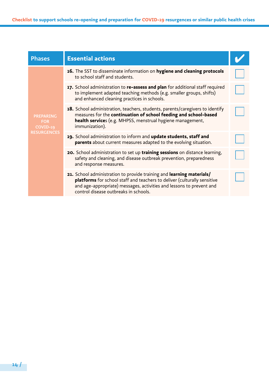| <b>Phases</b>                                                      | <b>Essential actions</b>                                                                                                                                                                                                                                           |  |
|--------------------------------------------------------------------|--------------------------------------------------------------------------------------------------------------------------------------------------------------------------------------------------------------------------------------------------------------------|--|
| <b>PREPARING</b><br><b>FOR</b><br>$COVID-19$<br><b>RESURGENCES</b> | 16. The SST to disseminate information on hygiene and cleaning protocols<br>to school staff and students.                                                                                                                                                          |  |
|                                                                    | 17. School administration to re-assess and plan for additional staff required<br>to implement adapted teaching methods (e.g. smaller groups, shifts)<br>and enhanced cleaning practices in schools.                                                                |  |
|                                                                    | 18. School administration, teachers, students, parents/caregivers to identify<br>measures for the continuation of school feeding and school-based<br>health services (e.g. MHPSS, menstrual hygiene management,<br>immunization).                                  |  |
|                                                                    | 19. School administration to inform and update students, staff and<br>parents about current measures adapted to the evolving situation.                                                                                                                            |  |
|                                                                    | 20. School administration to set up training sessions on distance learning,<br>safety and cleaning, and disease outbreak prevention, preparedness<br>and response measures.                                                                                        |  |
|                                                                    | 21. School administration to provide training and learning materials/<br>platforms for school staff and teachers to deliver (culturally sensitive<br>and age-appropriate) messages, activities and lessons to prevent and<br>control disease outbreaks in schools. |  |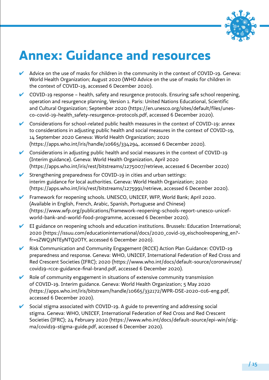

# **Annex: Guidance and resources**

- Advice on the use of masks for children in the community in the context of COVID-19. Geneva: World Health Organization; August 2020 [\(WHO Advice on the use of masks for children in](https://apps.who.int/iris/rest/bitstreams/1296520/retrieve)  [the context of COVID-19,](https://apps.who.int/iris/rest/bitstreams/1296520/retrieve) accessed 6 December 2020).
- $\vee$  COVID-19 response health, safety and resurgence protocols. Ensuring safe school reopening, operation and resurgence planning, Version 1. Paris: United Nations Educational, Scientific and Cultural Organization; September 2020 ([https://en.unesco.org/sites/default/files/unes](https://en.unesco.org/sites/default/files/unesco-covid-19-health_safety-resurgence-protocols.pdf)[co-covid-19-health\\_safety-resurgence-protocols.pdf,](https://en.unesco.org/sites/default/files/unesco-covid-19-health_safety-resurgence-protocols.pdf) accessed 6 December 2020).
- $\triangleright$  Considerations for school-related public health measures in the context of COVID-19: annex to considerations in adjusting public health and social measures in the context of COVID-19, 14 September 2020 Geneva: World Health Organization; 2020 ([https://apps.who.int/iris/handle/10665/334294, accessed 6 December 2020\)](https://apps.who.int/iris/handle/10665/334294, accessed 6 December 2020).
- ✔ Considerations in adjusting public health and social measures in the context of COVID-19 (Interim guidance). Geneva: World Health Organization, April 2020 ([https://apps.who.int/iris/rest/bitstreams/1275007/retrieve, accessed 6 December 2020\)](https://apps.who.int/iris/rest/bitstreams/1275007/retrieve)
- ✔ Strengthening preparedness for COVID-19 in cities and urban settings: interim guidance for local authorities. Geneva: World Health Organization; 2020 ([https://apps.who.int/iris/rest/bitstreams/1275991/](https://apps.who.int/iris/rest/bitstreams/1275991)retrieve, accessed 6 December 2020).
- ✔ Framework for reopening schools. UNESCO, UNICEF, WFP, World Bank; April 2020. (Available in English, French, Arabic, Spanish, Portuguese and Chinese) ([https://www.wfp.org/publications/framework-reopening-schools-report-unesco-unicef](https://www.wfp.org/publications/framework-reopening-schools-report-unesco-unicef-world-bank-and-wor)[world-bank-and-world-food-programme](https://www.wfp.org/publications/framework-reopening-schools-report-unesco-unicef-world-bank-and-wor), accessed 6 December 2020).
- ✔ EI guidance on reopening schools and education institutions. Brussels: Education International; 2020 ([https://issuu.com/educationinternational/docs/2020\\_covid-19\\_eischoolreopening\\_en?](https://issuu.com/educationinternational/docs/2020_covid-19_eischoolreopening_en?fr=sZWQ3NTEyNTQ2OTY) [fr=sZWQ3NTEyNTQ2OTY,](https://issuu.com/educationinternational/docs/2020_covid-19_eischoolreopening_en?fr=sZWQ3NTEyNTQ2OTY) accessed 6 December 2020).
- Risk Communication and Community Engagement (RCCE) Action Plan Guidance: COVID-19 preparedness and response. Geneva: WHO, UNICEF, International Federation of Red Cross and Red Crescent Societies (IFRC); 2020 [\(https://www.who.int/docs/default-source/coronaviruse/](https://www.who.int/docs/default-source/coronaviruse/covid19-rcce-guidance-final-brand.pdf) [covid19-rcce-guidance-final-brand.pdf](https://www.who.int/docs/default-source/coronaviruse/covid19-rcce-guidance-final-brand.pdf), accessed 6 December 2020).
- Role of community engagement in situations of extensive community transmission of COVID-19. Interim guidance. Geneva: World Health Organization; 5 May 2020 ([https://apps.who.int/iris/bitstream/handle/10665/332172/WPR-DSE-2020-016-eng.pdf,](https://apps.who.int/iris/bitstream/handle/10665/332172/WPR-DSE-2020-016-eng.pdf) accessed 6 December 2020).
- Social stigma associated with COVID-19. A guide to preventing and addressing social stigma. Geneva: WHO, UNICEF, International Federation of Red Cross and Red Crescent Societies (IFRC); 24 February 2020 ([https://www.who.int/docs/default-source/epi-win/stig](https://www.who.int/docs/default-source/epi-win/stigma/covid19-stigma-guide.pdf)[ma/covid19-stigma-guide.pdf](https://www.who.int/docs/default-source/epi-win/stigma/covid19-stigma-guide.pdf), accessed 6 December 2020).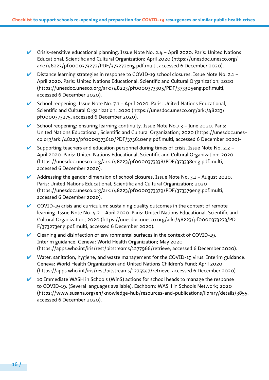- $\triangleright$  Crisis-sensitive educational planning. Issue Note No. 2.4 April 2020. Paris: United Nations Educational, Scientific and Cultural Organization; April 2020 ([https://unesdoc.unesco.org/](https://unesdoc.unesco.org/ark:/48223/pf0000373272/PDF/373272eng.pdf) [ark:/48223/pf0000373272/PDF/373272eng.pdf](https://unesdoc.unesco.org/ark:/48223/pf0000373272/PDF/373272eng.pdf).multi, accessed 6 December 2020).
- ✔ Distance learning strategies in response to COVID-19 school closures. Issue Note No. 2.1 April 2020. Paris: United Nations Educational, Scientific and Cultural Organization; 2020 (<https://unesdoc.unesco.org/ark:/48223/pf0000373305/PDF/373305eng.pdf.multi>, accessed 6 December 2020).
- ✔ School reopening. Issue Note No. 7.1 April 2020. Paris: United Nations Educational, Scientific and Cultural Organization; 2020 [\(https://unesdoc.unesco.org/ark:/48223/](https://unesdoc.unesco.org/ark:/48223/pf0000373275) [pf0000373275](https://unesdoc.unesco.org/ark:/48223/pf0000373275), accessed 6 December 2020).
- $\checkmark$  School reopening: ensuring learning continuity. Issue Note No.7.3 June 2020. Paris: United Nations Educational, Scientific and Cultural Organization; 2020 [\(https://unesdoc.unes](https://unesdoc.unesco.org/ark:/48223/pf0000373610/PDF/373610eng.pdf.multi)[co.org/ark:/48223/pf0000373610/PDF/373610eng.pdf.multi](https://unesdoc.unesco.org/ark:/48223/pf0000373610/PDF/373610eng.pdf.multi), accessed 6 December 2020)-
- $\triangleright$  Supporting teachers and education personnel during times of crisis. Issue Note No. 2.2 April 2020. Paris: United Nations Educational, Scientific and Cultural Organization; 2020 (<https://unesdoc.unesco.org/ark:/48223/pf0000373338/PDF/373338eng.pdf.multi>, accessed 6 December 2020).
- $\blacktriangleright$  Addressing the gender dimension of school closures. Issue Note No. 3.1 August 2020. Paris: United Nations Educational, Scientific and Cultural Organization; 2020 ([https://unesdoc.unesco.org/ark:/48223/pf0000373379/PDF/373379eng.pdf.multi,](https://unesdoc.unesco.org/ark:/48223/pf0000373379/PDF/373379eng.pdf.multi) accessed 6 December 2020).
- $\vee$  COVID-19 crisis and curriculum: sustaining quality outcomes in the context of remote learning. Issue Note No. 4.2 – April 2020. Paris: United Nations Educational, Scientific and Cultural Organization; 2020 ([https://unesdoc.unesco.org/ark:/48223/pf0000373273/PD-](https://unesdoc.unesco.org/ark:/48223/pf0000373273/PDF/373273eng.pdf.multi)[F/373273eng.pdf.multi,](https://unesdoc.unesco.org/ark:/48223/pf0000373273/PDF/373273eng.pdf.multi) accessed 6 December 2020).
- $\vee$  Cleaning and disinfection of environmental surfaces in the context of COVID-19. Interim guidance. Geneva: World Health Organization; May 2020 ([https://apps.who.int/iris/rest/bitstreams/1277966/retrieve,](https://apps.who.int/iris/rest/bitstreams/1277966/retrieve) accessed 6 December 2020).
- Water, sanitation, hygiene, and waste management for the COVID-19 virus. Interim guidance. Geneva: World Health Organization and United Nations Children's Fund; April 2020 (<https://apps.who.int/iris/rest/bitstreams/1275547/retrieve>, accessed 6 December 2020).
- $\triangleright$  10 Immediate WASH in Schools (WinS) actions for school heads to manage the response to COVID-19. (Several languages available). Eschborn: WASH in Schools Network; 2020 ([https://www.susana.org/en/knowledge-hub/resources-and-publications/library/details/3855,](https://www.susana.org/en/knowledge-hub/resources-and-publications/library/details/3855) accessed 6 December 2020).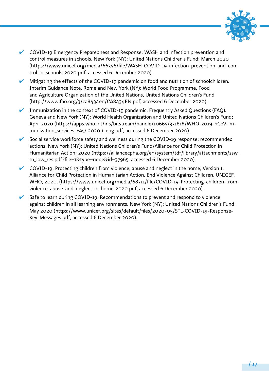

- ✔ COVID-19 Emergency Preparedness and Response: WASH and infection prevention and control measures in schools. New York (NY): United Nations Children's Fund; March 2020 ([https://www.unicef.org/media/66356/file/WASH-COVID-19-infection-prevention-and-con](https://www.unicef.org/media/66356/file/WASH-COVID-19-infection-prevention-and-control-in-schools-20)[trol-in-schools-2020.pdf](https://www.unicef.org/media/66356/file/WASH-COVID-19-infection-prevention-and-control-in-schools-20), accessed 6 December 2020).
- Mitigating the effects of the COVID-19 pandemic on food and nutrition of schoolchildren. Interim Guidance Note. Rome and New York (NY): World Food Programme, Food and Agriculture Organization of the United Nations, United Nations Children's Fund (<http://www.fao.org/3/ca8434en/CA8434EN.pdf>, accessed 6 December 2020).
- Immunization in the context of COVID-19 pandemic. Frequently Asked Questions (FAQ). Geneva and New York (NY): World Health Organization and United Nations Children's Fund; April 2020 [\(https://apps.who.int/iris/bitstream/handle/10665/331818/WHO-2019-nCoV-im](https://apps.who.int/iris/bitstream/handle/10665/331818/WHO-2019-nCoV-immunization_services-FAQ-2020)[munization\\_services-FAQ-2020.1-eng.pdf](https://apps.who.int/iris/bitstream/handle/10665/331818/WHO-2019-nCoV-immunization_services-FAQ-2020), accessed 6 December 2020).
- Social service workforce safety and wellness during the COVID-19 response: recommended actions. New York (NY): United Nations Children's Fund/Alliance for Child Protection in Humanitarian Action; 2020 ([https://alliancecpha.org/en/system/tdf/library/attachments/ssw\\_](https://alliancecpha.org/en/system/tdf/library/attachments/ssw_tn_low_res.pdf?file=1&type=node&id=37) [tn\\_low\\_res.pdf?file=1&type=node&id=37965,](https://alliancecpha.org/en/system/tdf/library/attachments/ssw_tn_low_res.pdf?file=1&type=node&id=37) accessed 6 December 2020).
- ✔ COVID-19: Protecting children from violence, abuse and neglect in the home, Version 1. Alliance for Child Protection in Humanitarian Action, End Violence Against Children, UNICEF, WHO, 2020. ([https://www.unicef.org/media/68711/file/COVID-19-Protecting-children-from](https://www.unicef.org/media/68711/file/COVID-19-Protecting-children-from-violence-abuse-and-neglect)[violence-abuse-and-neglect-in-home-2020.pdf](https://www.unicef.org/media/68711/file/COVID-19-Protecting-children-from-violence-abuse-and-neglect), accessed 6 December 2020).
- Safe to learn during COVID-19. Recommendations to prevent and respond to violence against children in all learning environments. New York (NY): United Nations Children's Fund; May 2020 ([https://www.unicef.org/sites/default/files/2020-05/STL-COVID-19-Response-](https://www.unicef.org/sites/default/files/2020-05/STL-COVID-19-Response-Key-Messages.pdf)[Key-Messages.pdf,](https://www.unicef.org/sites/default/files/2020-05/STL-COVID-19-Response-Key-Messages.pdf) accessed 6 December 2020).